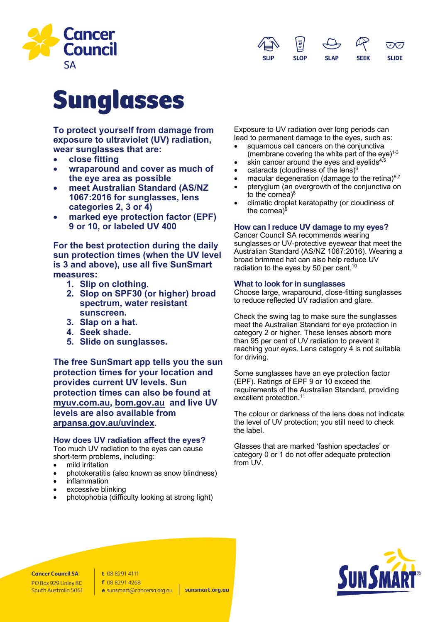



# Sunglasses

**To protect yourself from damage from exposure to ultraviolet (UV) radiation, wear sunglasses that are:**

- **close fitting**
- **wraparound and cover as much of the eye area as possible**
- **meet Australian Standard (AS/NZ 1067:2016 for sunglasses, lens categories 2, 3 or 4)**
- **marked eye protection factor (EPF) 9 or 10, or labeled UV 400**

**For the best protection during the daily sun protection times (when the UV level is 3 and above), use all five SunSmart measures:**

- **1. Slip on clothing.**
- **2. Slop on SPF30 (or higher) broad spectrum, water resistant sunscreen.**
- **3. Slap on a hat.**
- **4. Seek shade.**
- **5. Slide on sunglasses.**

**The free SunSmart app tells you the sun protection times for your location and provides current UV levels. Sun protection times can also be found at myuv.com.au, bom.gov.au and live UV levels are also available from arpansa.gov.au/uvindex.**

# **How does UV radiation affect the eyes?**

Too much UV radiation to the eyes can cause short-term problems, including:

- mild irritation
- photokeratitis (also known as snow blindness)
- inflammation
- excessive blinking
- photophobia (difficulty looking at strong light)

Exposure to UV radiation over long periods can lead to permanent damage to the eyes, such as:

- squamous cell cancers on the conjunctiva (membrane covering the white part of the eye) $1-3$
- skin cancer around the eyes and eyelids $4,5$
- cataracts (cloudiness of the lens) $<sup>6</sup>$ </sup>
- macular degeneration (damage to the retina) $6.7$
- pterygium (an overgrowth of the conjunctiva on to the cornea) 8
- climatic droplet keratopathy (or cloudiness of the cornea)<sup>9</sup>

# **How can I reduce UV damage to my eyes?**

Cancer Council SA recommends wearing sunglasses or UV-protective eyewear that meet the Australian Standard (AS/NZ 1067:2016). Wearing a broad brimmed hat can also help reduce UV radiation to the eyes by 50 per cent.<sup>10</sup>

## **What to look for in sunglasses**

Choose large, wraparound, close-fitting sunglasses to reduce reflected UV radiation and glare.

Check the swing tag to make sure the sunglasses meet the Australian Standard for eye protection in category 2 or higher. These lenses absorb more than 95 per cent of UV radiation to prevent it reaching your eyes. Lens category 4 is not suitable for driving.

Some sunglasses have an eye protection factor (EPF). Ratings of EPF 9 or 10 exceed the requirements of the Australian Standard, providing excellent protection.<sup>11</sup>

The colour or darkness of the lens does not indicate the level of UV protection; you still need to check the label.

Glasses that are marked 'fashion spectacles' or category 0 or 1 do not offer adequate protection from UV.



**Cancer Council SA** PO Box 929 Unley BC South Australia 5061 t 08 8291 4111 f 08 8291 4268 e sunsmart@cancersa.org.au

sunsmart.org.au